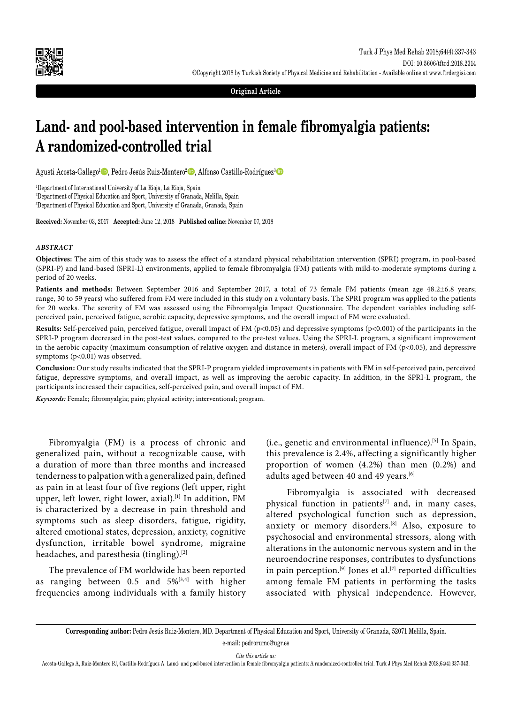

**Original Article**

# **Land- and pool-based intervention in female fibromyalgia patients: A randomized-controlled trial**

Agusti Acosta-Gallego<sup>1</sup> D, Pedro Jesús Ruiz-Montero<sup>2</sup> D, Alfonso Castillo-Rodríguez<sup>3</sup> D

1 Department of International University of La Rioja, La Rioja, Spain 2 Department of Physical Education and Sport, University of Granada, Melilla, Spain 3 Department of Physical Education and Sport, University of Granada, Granada, Spain

**Received:** November 03, 2017 **Accepted:** June 12, 2018 **Published online:** November 07, 2018

#### *ABSTRACT*

**Objectives:** The aim of this study was to assess the effect of a standard physical rehabilitation intervention (SPRI) program, in pool-based (SPRI-P) and land-based (SPRI-L) environments, applied to female fibromyalgia (FM) patients with mild-to-moderate symptoms during a period of 20 weeks.

**Patients and methods:** Between September 2016 and September 2017, a total of 73 female FM patients (mean age 48.2±6.8 years; range, 30 to 59 years) who suffered from FM were included in this study on a voluntary basis. The SPRI program was applied to the patients for 20 weeks. The severity of FM was assessed using the Fibromyalgia Impact Questionnaire. The dependent variables including selfperceived pain, perceived fatigue, aerobic capacity, depressive symptoms, and the overall impact of FM were evaluated.

**Results:** Self-perceived pain, perceived fatigue, overall impact of FM (p<0.05) and depressive symptoms (p<0.001) of the participants in the SPRI-P program decreased in the post-test values, compared to the pre-test values. Using the SPRI-L program, a significant improvement in the aerobic capacity (maximum consumption of relative oxygen and distance in meters), overall impact of FM (p<0.05), and depressive symptoms (p<0.01) was observed.

**Conclusion:** Our study results indicated that the SPRI-P program yielded improvements in patients with FM in self-perceived pain, perceived fatigue, depressive symptoms, and overall impact, as well as improving the aerobic capacity. In addition, in the SPRI-L program, the participants increased their capacities, self-perceived pain, and overall impact of FM.

*Keywords:* Female; fibromyalgia; pain; physical activity; interventional; program.

Fibromyalgia (FM) is a process of chronic and generalized pain, without a recognizable cause, with a duration of more than three months and increased tenderness to palpation with a generalized pain, defined as pain in at least four of five regions (left upper, right upper, left lower, right lower, axial).<sup>[1]</sup> In addition, FM is characterized by a decrease in pain threshold and symptoms such as sleep disorders, fatigue, rigidity, altered emotional states, depression, anxiety, cognitive dysfunction, irritable bowel syndrome, migraine headaches, and paresthesia (tingling).<sup>[2]</sup>

The prevalence of FM worldwide has been reported as ranging between 0.5 and  $5\%^{[3,4]}$  with higher frequencies among individuals with a family history (i.e., genetic and environmental influence).<sup>[5]</sup> In Spain, this prevalence is 2.4%, affecting a significantly higher proportion of women (4.2%) than men (0.2%) and adults aged between 40 and 49 years.<sup>[6]</sup>

 Fibromyalgia is associated with decreased physical function in patients<sup>[7]</sup> and, in many cases, altered psychological function such as depression, anxiety or memory disorders.[8] Also, exposure to psychosocial and environmental stressors, along with alterations in the autonomic nervous system and in the neuroendocrine responses, contributes to dysfunctions in pain perception.<sup>[9]</sup> Jones et al.<sup>[7]</sup> reported difficulties among female FM patients in performing the tasks associated with physical independence. However,

e-mail: pedrorumo@ugr.es

*Cite this article as:*

**Corresponding author:** Pedro Jesús Ruiz-Montero, MD. Department of Physical Education and Sport, University of Granada, 52071 Melilla, Spain.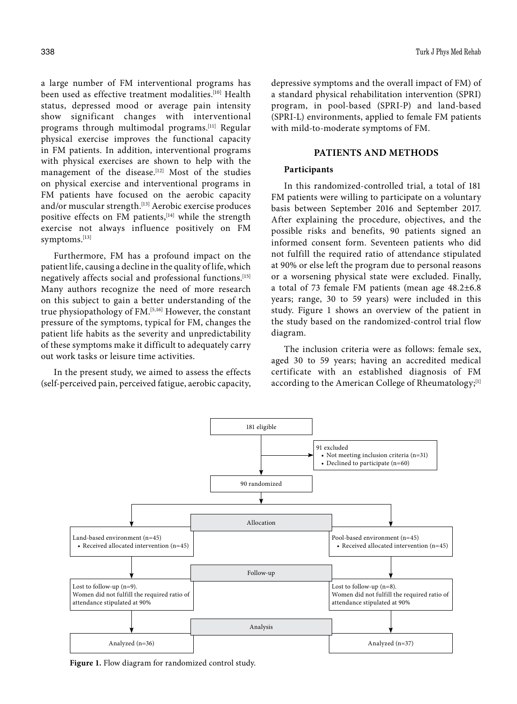a large number of FM interventional programs has been used as effective treatment modalities.<sup>[10]</sup> Health status, depressed mood or average pain intensity show significant changes with interventional programs through multimodal programs.[11] Regular physical exercise improves the functional capacity in FM patients. In addition, interventional programs with physical exercises are shown to help with the management of the disease.<sup>[12]</sup> Most of the studies on physical exercise and interventional programs in FM patients have focused on the aerobic capacity and/or muscular strength.<sup>[13]</sup> Aerobic exercise produces positive effects on FM patients,<sup>[14]</sup> while the strength exercise not always influence positively on FM symptoms.[13]

Furthermore, FM has a profound impact on the patient life, causing a decline in the quality of life, which negatively affects social and professional functions.[15] Many authors recognize the need of more research on this subject to gain a better understanding of the true physiopathology of FM.[5,16] However, the constant pressure of the symptoms, typical for FM, changes the patient life habits as the severity and unpredictability of these symptoms make it difficult to adequately carry out work tasks or leisure time activities.

In the present study, we aimed to assess the effects (self-perceived pain, perceived fatigue, aerobic capacity, depressive symptoms and the overall impact of FM) of a standard physical rehabilitation intervention (SPRI) program, in pool-based (SPRI-P) and land-based (SPRI-L) environments, applied to female FM patients with mild-to-moderate symptoms of FM.

## **PATIENTS AND METHODS**

## **Participants**

In this randomized-controlled trial, a total of 181 FM patients were willing to participate on a voluntary basis between September 2016 and September 2017. After explaining the procedure, objectives, and the possible risks and benefits, 90 patients signed an informed consent form. Seventeen patients who did not fulfill the required ratio of attendance stipulated at 90% or else left the program due to personal reasons or a worsening physical state were excluded. Finally, a total of 73 female FM patients (mean age 48.2±6.8 years; range, 30 to 59 years) were included in this study. Figure 1 shows an overview of the patient in the study based on the randomized-control trial flow diagram.

The inclusion criteria were as follows: female sex, aged 30 to 59 years; having an accredited medical certificate with an established diagnosis of FM according to the American College of Rheumatology;<sup>[1]</sup>



**Figure 1.** Flow diagram for randomized control study.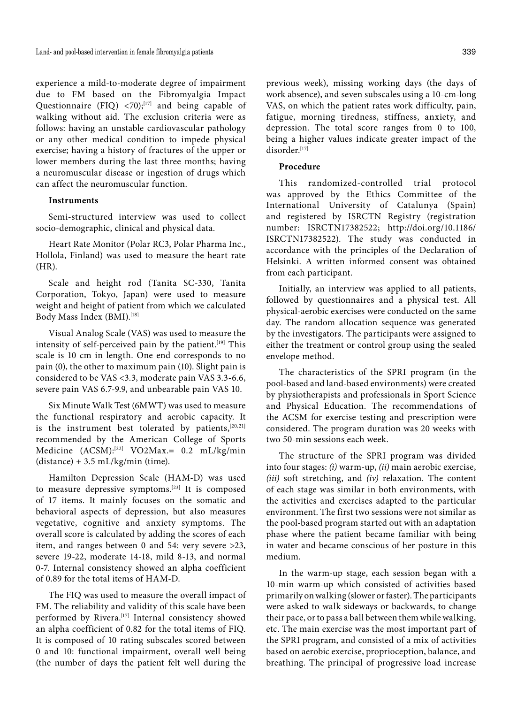experience a mild-to-moderate degree of impairment due to FM based on the Fibromyalgia Impact Questionnaire (FIQ)  $\langle 70 \rangle$ ;<sup>[17]</sup> and being capable of walking without aid. The exclusion criteria were as follows: having an unstable cardiovascular pathology or any other medical condition to impede physical exercise; having a history of fractures of the upper or lower members during the last three months; having a neuromuscular disease or ingestion of drugs which can affect the neuromuscular function.

#### **Instruments**

Semi-structured interview was used to collect socio-demographic, clinical and physical data.

Heart Rate Monitor (Polar RC3, Polar Pharma Inc., Hollola, Finland) was used to measure the heart rate (HR).

Scale and height rod (Tanita SC-330, Tanita Corporation, Tokyo, Japan) were used to measure weight and height of patient from which we calculated Body Mass Index (BMI).[18]

Visual Analog Scale (VAS) was used to measure the intensity of self-perceived pain by the patient.<sup>[19]</sup> This scale is 10 cm in length. One end corresponds to no pain (0), the other to maximum pain (10). Slight pain is considered to be VAS <3.3, moderate pain VAS 3.3-6.6, severe pain VAS 6.7-9.9, and unbearable pain VAS 10.

Six Minute Walk Test (6MWT) was used to measure the functional respiratory and aerobic capacity. It is the instrument best tolerated by patients,<sup>[20,21]</sup> recommended by the American College of Sports Medicine (ACSM):[22] VO2Max.= 0.2 mL/kg/min  $(distance) + 3.5$  mL/kg/min (time).

Hamilton Depression Scale (HAM-D) was used to measure depressive symptoms.[23] It is composed of 17 items. It mainly focuses on the somatic and behavioral aspects of depression, but also measures vegetative, cognitive and anxiety symptoms. The overall score is calculated by adding the scores of each item, and ranges between 0 and 54: very severe >23, severe 19-22, moderate 14-18, mild 8-13, and normal 0-7. Internal consistency showed an alpha coefficient of 0.89 for the total items of HAM-D.

The FIQ was used to measure the overall impact of FM. The reliability and validity of this scale have been performed by Rivera.<sup>[17]</sup> Internal consistency showed an alpha coefficient of 0.82 for the total items of FIQ. It is composed of 10 rating subscales scored between 0 and 10: functional impairment, overall well being (the number of days the patient felt well during the

previous week), missing working days (the days of work absence), and seven subscales using a 10-cm-long VAS, on which the patient rates work difficulty, pain, fatigue, morning tiredness, stiffness, anxiety, and depression. The total score ranges from 0 to 100, being a higher values indicate greater impact of the disorder.[17]

#### **Procedure**

This randomized-controlled trial protocol was approved by the Ethics Committee of the International University of Catalunya (Spain) and registered by ISRCTN Registry (registration number: ISRCTN17382522; http://doi.org/10.1186/ ISRCTN17382522). The study was conducted in accordance with the principles of the Declaration of Helsinki. A written informed consent was obtained from each participant.

Initially, an interview was applied to all patients, followed by questionnaires and a physical test. All physical-aerobic exercises were conducted on the same day. The random allocation sequence was generated by the investigators. The participants were assigned to either the treatment or control group using the sealed envelope method.

The characteristics of the SPRI program (in the pool-based and land-based environments) were created by physiotherapists and professionals in Sport Science and Physical Education. The recommendations of the ACSM for exercise testing and prescription were considered. The program duration was 20 weeks with two 50-min sessions each week.

The structure of the SPRI program was divided into four stages: *(i)* warm-up, *(ii)* main aerobic exercise, *(iii)* soft stretching, and *(iv)* relaxation. The content of each stage was similar in both environments, with the activities and exercises adapted to the particular environment. The first two sessions were not similar as the pool-based program started out with an adaptation phase where the patient became familiar with being in water and became conscious of her posture in this medium.

In the warm-up stage, each session began with a 10-min warm-up which consisted of activities based primarily on walking (slower or faster). The participants were asked to walk sideways or backwards, to change their pace, or to pass a ball between them while walking, etc. The main exercise was the most important part of the SPRI program, and consisted of a mix of activities based on aerobic exercise, proprioception, balance, and breathing. The principal of progressive load increase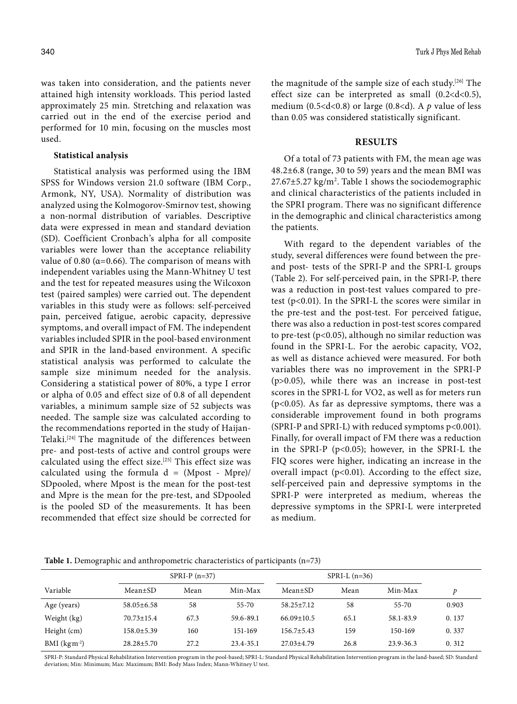was taken into consideration, and the patients never attained high intensity workloads. This period lasted approximately 25 min. Stretching and relaxation was carried out in the end of the exercise period and performed for 10 min, focusing on the muscles most used.

## **Statistical analysis**

Statistical analysis was performed using the IBM SPSS for Windows version 21.0 software (IBM Corp., Armonk, NY, USA). Normality of distribution was analyzed using the Kolmogorov-Smirnov test, showing a non-normal distribution of variables. Descriptive data were expressed in mean and standard deviation (SD). Coefficient Cronbach's alpha for all composite variables were lower than the acceptance reliability value of 0.80 ( $α=0.66$ ). The comparison of means with independent variables using the Mann-Whitney U test and the test for repeated measures using the Wilcoxon test (paired samples) were carried out. The dependent variables in this study were as follows: self-perceived pain, perceived fatigue, aerobic capacity, depressive symptoms, and overall impact of FM. The independent variables included SPIR in the pool-based environment and SPIR in the land-based environment. A specific statistical analysis was performed to calculate the sample size minimum needed for the analysis. Considering a statistical power of 80%, a type I error or alpha of 0.05 and effect size of 0.8 of all dependent variables, a minimum sample size of 52 subjects was needed. The sample size was calculated according to the recommendations reported in the study of Haijan-Telaki.[24] The magnitude of the differences between pre- and post-tests of active and control groups were calculated using the effect size.[25] This effect size was calculated using the formula  $d = (Mpost - Mpre)/$ SDpooled, where Mpost is the mean for the post-test and Mpre is the mean for the pre-test, and SDpooled is the pooled SD of the measurements. It has been recommended that effect size should be corrected for

the magnitude of the sample size of each study.[26] The effect size can be interpreted as small  $(0.2 < d < 0.5)$ , medium (0.5 < d < 0.8) or large (0.8 < d). A  $p$  value of less than 0.05 was considered statistically significant.

## **RESULTS**

Of a total of 73 patients with FM, the mean age was 48.2±6.8 (range, 30 to 59) years and the mean BMI was  $27.67\pm5.27$  kg/m<sup>2</sup>. Table 1 shows the sociodemographic and clinical characteristics of the patients included in the SPRI program. There was no significant difference in the demographic and clinical characteristics among the patients.

With regard to the dependent variables of the study, several differences were found between the preand post- tests of the SPRI-P and the SPRI-L groups (Table 2). For self-perceived pain, in the SPRI-P, there was a reduction in post-test values compared to pretest ( $p<0.01$ ). In the SPRI-L the scores were similar in the pre-test and the post-test. For perceived fatigue, there was also a reduction in post-test scores compared to pre-test (p<0.05), although no similar reduction was found in the SPRI-L. For the aerobic capacity, VO2, as well as distance achieved were measured. For both variables there was no improvement in the SPRI-P (p>0.05), while there was an increase in post-test scores in the SPRI-L for VO2, as well as for meters run (p<0.05). As far as depressive symptoms, there was a considerable improvement found in both programs (SPRI-P and SPRI-L) with reduced symptoms p<0.001). Finally, for overall impact of FM there was a reduction in the SPRI-P (p<0.05); however, in the SPRI-L the FIQ scores were higher, indicating an increase in the overall impact (p<0.01). According to the effect size, self-perceived pain and depressive symptoms in the SPRI-P were interpreted as medium, whereas the depressive symptoms in the SPRI-L were interpreted as medium.

**Table 1.** Demographic and anthropometric characteristics of participants (n=73)

|                            |                  | $SPRI-P$ (n=37) |           |                  | $SPRI-L$ (n=36) |               |       |
|----------------------------|------------------|-----------------|-----------|------------------|-----------------|---------------|-------|
| Variable                   | $Mean \pm SD$    | Mean            | Min-Max   | Mean±SD          | Mean            | Min-Max       | D     |
| Age (years)                | $58.05 \pm 6.58$ | 58              | 55-70     | $58.25 \pm 7.12$ | 58              | $55 - 70$     | 0.903 |
| Weight (kg)                | $70.73 \pm 15.4$ | 67.3            | 59.6-89.1 | $66.09 \pm 10.5$ | 65.1            | 58.1-83.9     | 0.137 |
| Height (cm)                | $158.0 \pm 5.39$ | 160             | 151-169   | $156.7 \pm 5.43$ | 159             | 150-169       | 0.337 |
| $BMI$ (kgm <sup>-2</sup> ) | $28.28 \pm 5.70$ | 27.2            | 23.4-35.1 | $27.03 + 4.79$   | 26.8            | $23.9 - 36.3$ | 0.312 |

SPRI-P: Standard Physical Rehabilitation Intervention program in the pool-based; SPRI-L: Standard Physical Rehabilitation Intervention program in the land-based; SD: Standard deviation; Min: Minimum; Max: Maximum; BMI: Body Mass Index; Mann-Whitney U test.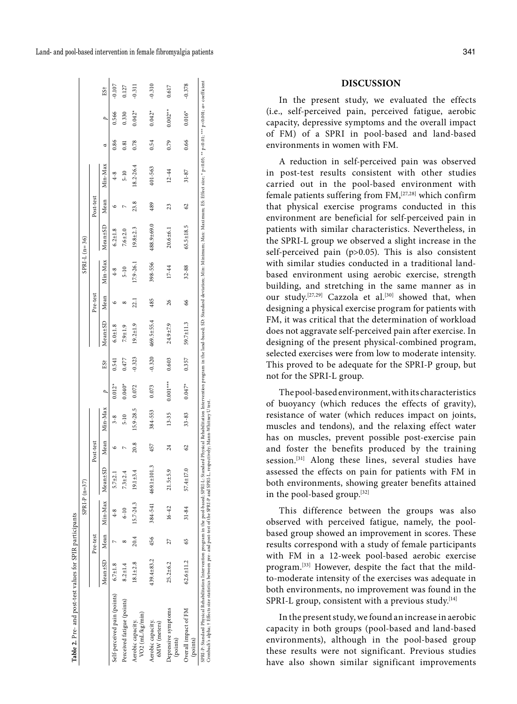| Land- and pool-based intervention in female fibromyalgia patients | 341 |
|-------------------------------------------------------------------|-----|
|-------------------------------------------------------------------|-----|

|                                                                                                                                                                                                                                                                                                                                                                      |                  |          | $SPRI-P(n=37)$               |                             |           |           |                |                 |                |          | $SPRI-L$ (n=36) |               |                |             |      |                |                 |
|----------------------------------------------------------------------------------------------------------------------------------------------------------------------------------------------------------------------------------------------------------------------------------------------------------------------------------------------------------------------|------------------|----------|------------------------------|-----------------------------|-----------|-----------|----------------|-----------------|----------------|----------|-----------------|---------------|----------------|-------------|------|----------------|-----------------|
|                                                                                                                                                                                                                                                                                                                                                                      |                  | Pre-test |                              |                             | Post-test |           |                |                 |                | Pre-test |                 |               | Post-test      |             |      |                |                 |
|                                                                                                                                                                                                                                                                                                                                                                      |                  |          | Mean±SD Mean Min-Max Mean±SD |                             | Mean      | Min-Max   | $\overline{a}$ | ES <sup>+</sup> | $Mean \pm SL$  | Mean     | Min-Max         | $Mean \pm SD$ | Mean           | Min-Max     | ರ    | $\overline{a}$ | ES <sup>+</sup> |
| Self-perceived pain (points) 6.7±1.8                                                                                                                                                                                                                                                                                                                                 |                  |          | $4 - 8$                      | $.7 + 2.$                   |           |           | $0.012*$       | 0.541           | $6.0 + 1.8$    |          |                 | $6.2 + 1.8$   |                | $4 - 8$     | 0.86 | 0.566          | 0.107           |
| Perceived fatigue (points)                                                                                                                                                                                                                                                                                                                                           | $8.2 + 1.4$      |          | $6 - 10$                     | 3±2.4                       |           | $5 - 10$  | $0.040*$       | 0.477           | $7.9 + 1.9$    |          | $5 - 10$        | $7.6 + 2.0$   |                | $5 - 10$    | 0.81 | 0.330          | 0.127           |
| $VO2$ (mL/kg/min)<br>Aerobic capacity.                                                                                                                                                                                                                                                                                                                               | $18.1 \pm 2.8$   | 20.4     | $15.7 - 24.3$                | $19.1 + 3.4$                | 20.8      | 15.9-28.5 | 0.072          | $-0.323$        | $19.2 \pm 1.9$ | 22.1     | $17.9 - 26.1$   | $19.8 + 2.3$  | 23.8           | 18.2-26.4   | 0.78 | $0.042*$       | $-0.311$        |
| Aerobic capacity.<br>6MW (meters)                                                                                                                                                                                                                                                                                                                                    | $439.4 \pm 83.2$ | 456      |                              | $384-541$ $469.1 \pm 101.3$ | 457       | 384-553   | 0.073          | $-0.320$        | 469.5±55.4     | 485      | 398-556         | 488.9±69.0    | 489            | $401 - 563$ | 0.54 | $0.042*$       | $-0.310$        |
| Depressive symptoms<br>(points)                                                                                                                                                                                                                                                                                                                                      | $25.2 \pm 6.2$   | 27       | $16 - 42$                    | $5 + 5.9$<br>$\overline{a}$ | 24        | $13 - 35$ | $0.001***$     | 0.603           | 24.9±7.9       | 26       | $17 - 44$       | $20.6 + 6.1$  | 23             | $12 - 44$   | 0.79 | $0.002**$      | 0.617           |
| Overall impact of FM<br>(points)                                                                                                                                                                                                                                                                                                                                     | $62.6 \pm 11.2$  | 65       | 31-84                        | $57.4 \pm 17.0$             | 62        | $33 - 83$ | $0.047*$       | 0.357           | 59.7±11.3      | 66       | $32 - 88$       | 65.5±18.5     | C <sub>3</sub> | $31 - 87$   | 0.66 | $0.016*$       | $-0.378$        |
| SPRI-P: Standard Physical Rehabilitation Intervention program in the pool-based; SPRI-L: Standard Dhysical Rehabilitation Intervention program in the land-based; SD: Standard deviation; Min: Minimum; Max: Maximum; ES: Effe<br>Cronbach's alpha; † Effects size statistics between pre- and post-test of the SPRI-P and SPRI-L, respectively; Mann-Whitney U test |                  |          |                              |                             |           |           |                |                 |                |          |                 |               |                |             |      |                |                 |

**Table 2.** Pre- and post-test values for SPIR participants

Table 2. Pre- and post-test values for SPIR participants

**DISCUSSION**

In the present study, we evaluated the effects (i.e., self-perceived pain, perceived fatigue, aerobic capacity, depressive symptoms and the overall impact of FM) of a SPRI in pool-based and land-based environments in women with FM.

A reduction in self-perceived pain was observed in post-test results consistent with other studies carried out in the pool-based environment with female patients suffering from FM,[27,28] which confirm that physical exercise programs conducted in this environment are beneficial for self-perceived pain in patients with similar characteristics. Nevertheless, in the SPRI-L group we observed a slight increase in the self-perceived pain (p>0.05). This is also consistent with similar studies conducted in a traditional landbased environment using aerobic exercise, strength building, and stretching in the same manner as in our study.<sup>[27,29]</sup> Cazzola et al.<sup>[30]</sup> showed that, when designing a physical exercise program for patients with FM, it was critical that the determination of workload does not aggravate self-perceived pain after exercise. In designing of the present physical-combined program, selected exercises were from low to moderate intensity. This proved to be adequate for the SPRI-P group, but not for the SPRI-L group.

The pool-based environment, with its characteristics of buoyancy (which reduces the effects of gravity), resistance of water (which reduces impact on joints, muscles and tendons), and the relaxing effect water has on muscles, prevent possible post-exercise pain and foster the benefits produced by the training session.<sup>[31]</sup> Along these lines, several studies have assessed the effects on pain for patients with FM in both environments, showing greater benefits attained in the pool-based group.[32]

This difference between the groups was also observed with perceived fatigue, namely, the poolbased group showed an improvement in scores. These results correspond with a study of female participants with FM in a 12-week pool-based aerobic exercise program.[33] However, despite the fact that the mildto-moderate intensity of the exercises was adequate in both environments, no improvement was found in the SPRI-L group, consistent with a previous study. $[14]$ 

In the present study, we found an increase in aerobic capacity in both groups (pool-based and land-based environments), although in the pool-based group these results were not significant. Previous studies have also shown similar significant improvements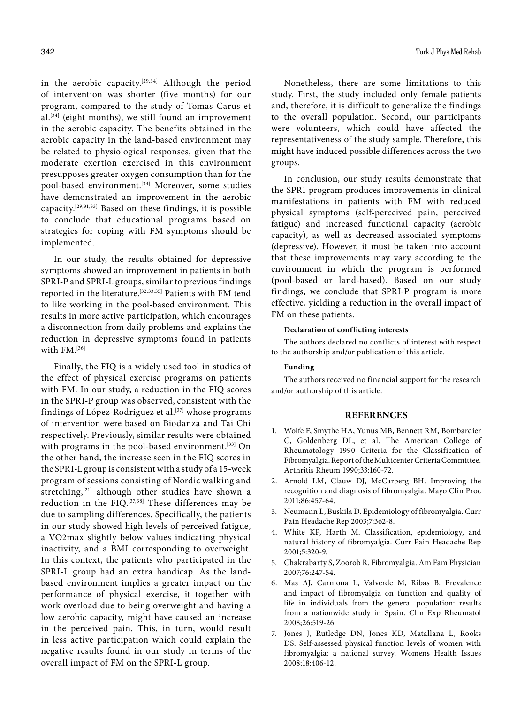in the aerobic capacity.[29,34] Although the period of intervention was shorter (five months) for our program, compared to the study of Tomas-Carus et al.[34] (eight months), we still found an improvement in the aerobic capacity. The benefits obtained in the aerobic capacity in the land-based environment may be related to physiological responses, given that the moderate exertion exercised in this environment presupposes greater oxygen consumption than for the pool-based environment.<sup>[34]</sup> Moreover, some studies have demonstrated an improvement in the aerobic capacity.[29,31,33] Based on these findings, it is possible to conclude that educational programs based on strategies for coping with FM symptoms should be implemented.

In our study, the results obtained for depressive symptoms showed an improvement in patients in both SPRI-P and SPRI-L groups, similar to previous findings reported in the literature.<sup>[32,33,35]</sup> Patients with FM tend to like working in the pool-based environment. This results in more active participation, which encourages a disconnection from daily problems and explains the reduction in depressive symptoms found in patients with FM.<sup>[36]</sup>

Finally, the FIQ is a widely used tool in studies of the effect of physical exercise programs on patients with FM. In our study, a reduction in the FIQ scores in the SPRI-P group was observed, consistent with the findings of López-Rodriguez et al.[37] whose programs of intervention were based on Biodanza and Tai Chi respectively. Previously, similar results were obtained with programs in the pool-based environment.<sup>[33]</sup> On the other hand, the increase seen in the FIQ scores in the SPRI-L group is consistent with a study of a 15-week program of sessions consisting of Nordic walking and stretching,<sup>[21]</sup> although other studies have shown a reduction in the FIQ.[37,38] These differences may be due to sampling differences. Specifically, the patients in our study showed high levels of perceived fatigue, a VO2max slightly below values indicating physical inactivity, and a BMI corresponding to overweight. In this context, the patients who participated in the SPRI-L group had an extra handicap. As the landbased environment implies a greater impact on the performance of physical exercise, it together with work overload due to being overweight and having a low aerobic capacity, might have caused an increase in the perceived pain. This, in turn, would result in less active participation which could explain the negative results found in our study in terms of the overall impact of FM on the SPRI-L group.

Nonetheless, there are some limitations to this study. First, the study included only female patients and, therefore, it is difficult to generalize the findings to the overall population. Second, our participants were volunteers, which could have affected the representativeness of the study sample. Therefore, this might have induced possible differences across the two groups.

In conclusion, our study results demonstrate that the SPRI program produces improvements in clinical manifestations in patients with FM with reduced physical symptoms (self-perceived pain, perceived fatigue) and increased functional capacity (aerobic capacity), as well as decreased associated symptoms (depressive). However, it must be taken into account that these improvements may vary according to the environment in which the program is performed (pool-based or land-based). Based on our study findings, we conclude that SPRI-P program is more effective, yielding a reduction in the overall impact of FM on these patients.

#### **Declaration of conflicting interests**

The authors declared no conflicts of interest with respect to the authorship and/or publication of this article.

## **Funding**

The authors received no financial support for the research and/or authorship of this article.

#### **REFERENCES**

- 1. Wolfe F, Smythe HA, Yunus MB, Bennett RM, Bombardier C, Goldenberg DL, et al. The American College of Rheumatology 1990 Criteria for the Classification of Fibromyalgia. Report of the Multicenter Criteria Committee. Arthritis Rheum 1990;33:160-72.
- 2. Arnold LM, Clauw DJ, McCarberg BH. Improving the recognition and diagnosis of fibromyalgia. Mayo Clin Proc 2011;86:457-64.
- 3. Neumann L, Buskila D. Epidemiology of fibromyalgia. Curr Pain Headache Rep 2003;7:362-8.
- 4. White KP, Harth M. Classification, epidemiology, and natural history of fibromyalgia. Curr Pain Headache Rep 2001;5:320-9.
- 5. Chakrabarty S, Zoorob R. Fibromyalgia. Am Fam Physician 2007;76:247-54.
- 6. Mas AJ, Carmona L, Valverde M, Ribas B. Prevalence and impact of fibromyalgia on function and quality of life in individuals from the general population: results from a nationwide study in Spain. Clin Exp Rheumatol 2008;26:519-26.
- 7. Jones J, Rutledge DN, Jones KD, Matallana L, Rooks DS. Self-assessed physical function levels of women with fibromyalgia: a national survey. Womens Health Issues 2008;18:406-12.